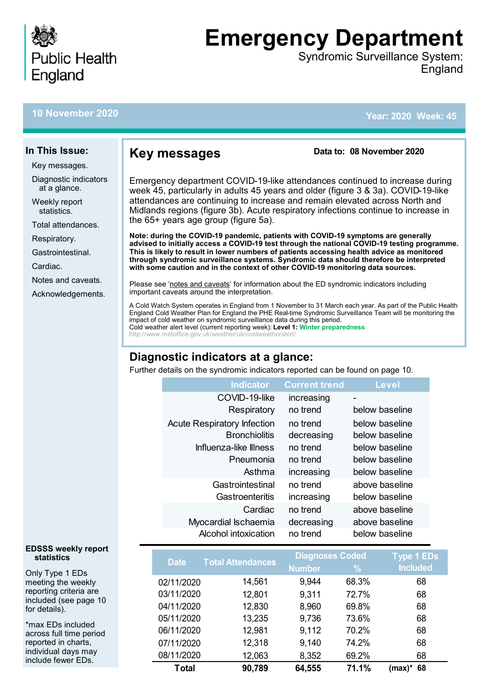

# **Emergency Department**

Syndromic Surveillance System: England

## **10 November 2020**

**In This Issue:** Key messages.

[Respiratory.](#page-2-0) [Gastrointestinal.](#page-6-0)

[Notes and caveats.](#page-9-0) [Acknowledgements.](#page-9-0)

Cardiac.

Diagnostic indicators at a glance. Weekly report statistics. [Total attendances.](#page-2-0)

**Year: 2020 Week: 45**

## **Key messages**

**Data to: 08 November 2020**

Emergency department COVID-19-like attendances continued to increase during week 45, particularly in adults 45 years and older (figure 3 & 3a). COVID-19-like attendances are continuing to increase and remain elevated across North and Midlands regions (figure 3b). Acute respiratory infections continue to increase in the 65+ years age group (figure 5a).

**Note: during the COVID-19 pandemic, patients with COVID-19 symptoms are generally advised to initially access a COVID-19 test through the national COVID-19 testing programme. This is likely to result in lower numbers of patients accessing health advice as monitored through syndromic surveillance systems. Syndromic data should therefore be interpreted with some caution and in the context of other COVID-19 monitoring data sources.**

Please see '[notes and caveats](#page-9-0)' for information about the ED syndromic indicators including important caveats around the interpretation.

A Cold Watch System operates in England from 1 November to 31 March each year. As part of the Public Health England Cold Weather Plan for England the PHE Real-time Syndromic Surveillance Team will be monitoring the impact of cold weather on syndromic surveillance data during this period. Cold weather alert level (current reporting week): **Level 1: Winter preparedness** http://www.metoffice.gov.uk/weather/uk/coldweatheralert/

## **Diagnostic indicators at a glance:**

Further details on the syndromic indicators reported can be found on page 10.

| <b>Indicator</b>                   | <b>Current trend</b> | <b>Level</b>   |
|------------------------------------|----------------------|----------------|
| COVID-19-like                      | increasing           | -              |
| Respiratory                        | no trend             | below baseline |
| <b>Acute Respiratory Infection</b> | no trend             | below baseline |
| <b>Bronchiolitis</b>               | decreasing           | below baseline |
| Influenza-like Illness             | no trend             | below baseline |
| Pneumonia                          | no trend             | below baseline |
| Asthma                             | increasing           | below baseline |
| Gastrointestinal                   | no trend             | above baseline |
| Gastroenteritis                    | increasing           | below baseline |
| Cardiac                            | no trend             | above baseline |
| Myocardial Ischaemia               | decreasing           | above baseline |
| Alcohol intoxication               | no trend             | below baseline |

| <b>Date</b> | <b>Total Attendances</b> | <b>Diagnoses Coded</b> |       | <b>Type 1 EDs</b> |
|-------------|--------------------------|------------------------|-------|-------------------|
|             |                          | <b>Number</b>          | $\%$  | <b>Included</b>   |
| 02/11/2020  | 14,561                   | 9,944                  | 68.3% | 68                |
| 03/11/2020  | 12,801                   | 9,311                  | 72.7% | 68                |
| 04/11/2020  | 12,830                   | 8,960                  | 69.8% | 68                |
| 05/11/2020  | 13,235                   | 9,736                  | 73.6% | 68                |
| 06/11/2020  | 12,981                   | 9,112                  | 70.2% | 68                |
| 07/11/2020  | 12,318                   | 9,140                  | 74.2% | 68                |
| 08/11/2020  | 12,063                   | 8,352                  | 69.2% | 68                |
| Total       | 90,789                   | 64,555                 | 71.1% | 68<br>(max)*      |

#### **EDSSS weekly report statistics**

Only Type 1 EDs meeting the weekly reporting criteria are included (see page 10 for details).

\*max EDs included across full time period reported in charts, individual days may include fewer EDs.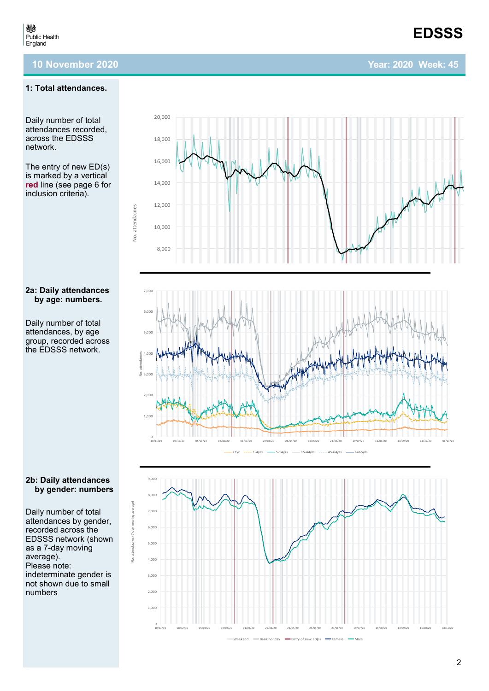#### **1: Total attendances.**

Daily number of total attendances recorded, across the EDSSS network.

The entry of new ED(s) is marked by a vertical **red** line (see page 6 for inclusion criteria).

#### **2a: Daily attendances by age: numbers.**

Daily number of total attendances, by age group, recorded across the EDSSS network.

## **2b: Daily attendances by gender: numbers**

Daily number of total attendances by gender, recorded across the EDSSS network (shown as a 7 -day moving average). Please note: indeterminate gender is not shown due to small numbers





<1yr -----1-4yrs ---- 5-14yrs ---- 15-44yrs ----- 45-64yrs --- >=65yrs

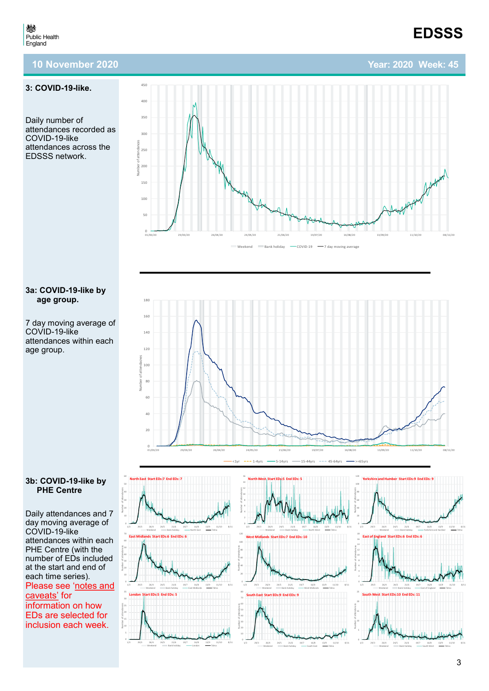**Year: 2020 Week: 45**

## **10 November 2020**

#### **3: COVID -19 -like.**

<span id="page-2-0"></span>戀 Public Health<br>England

Daily number of attendances recorded as COVID-19-like attendances across the EDSSS network.



#### **3a: COVID -19 -like by age group.**

7 day moving average of COVID-19-like attendances within each age group.



#### **3b: COVID -19 -like by PHE Centre**

Daily attendances and 7 day moving average of COVID-19-like attendances within each PHE Centre (with the number of EDs included at the start and end of each time series). Please see 'notes and [caveats](#page-9-0) ' for information on how EDs are selected for<br>inclusion each week. inclusion each week. 0

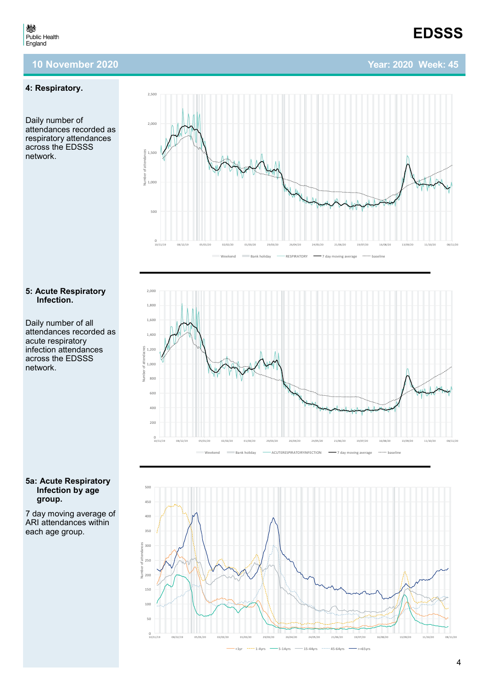## **Year: 2020 Week: 45**

**EDSSS**

#### **4: Respiratory.**

Daily number of attendances recorded as respiratory attendances across the EDSSS network.



Daily number of all attendances recorded as acute respiratory infection attendances across the EDSSS network.



7 day moving average of ARI attendances within each age group.





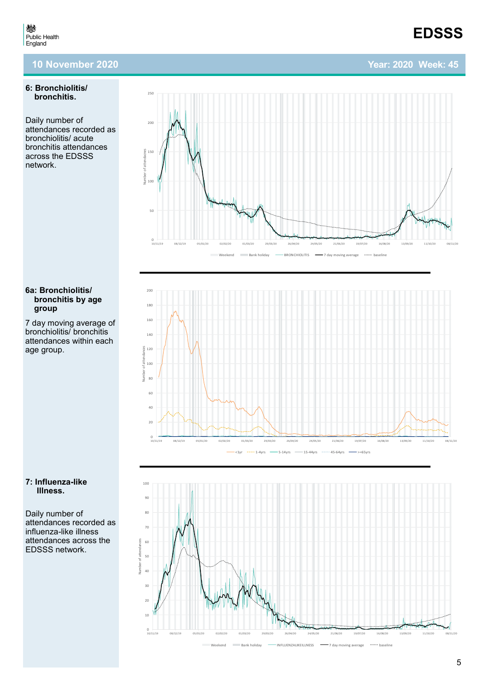#### **6: Bronchiolitis/ bronchitis.**

Daily number of attendances recorded as bronchiolitis/ acute bronchitis attendances across the EDSSS network.

#### **6a: Bronchiolitis/ bronchitis by age group**

7 day moving average of bronchiolitis/ bronchitis attendances within each age group.



Daily number of attendances recorded as influenza-like illness attendances across the EDSSS network.







## **Year: 2020 Week: 45**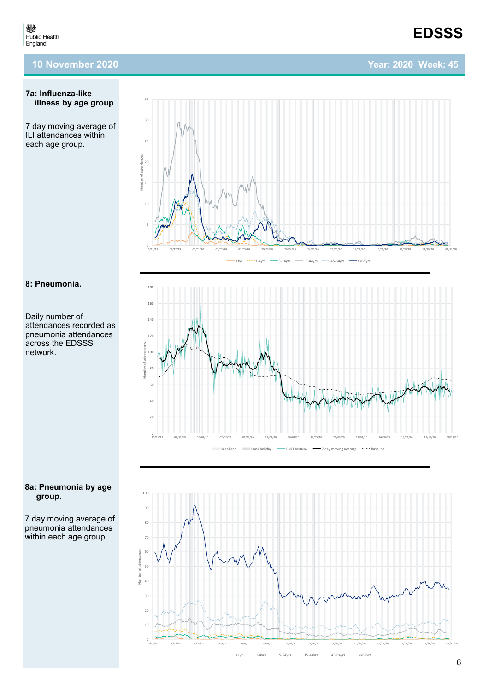# **EDSSS**

## **Year: 2020 Week: 45**

#### **7a: Influenza-like illness by age group**

7 day moving average of ILI attendances within each age group.



## **8: Pneumonia.**

Daily number of attendances recorded as pneumonia attendances across the EDSSS network.



7 day moving average of pneumonia attendances within each age group.



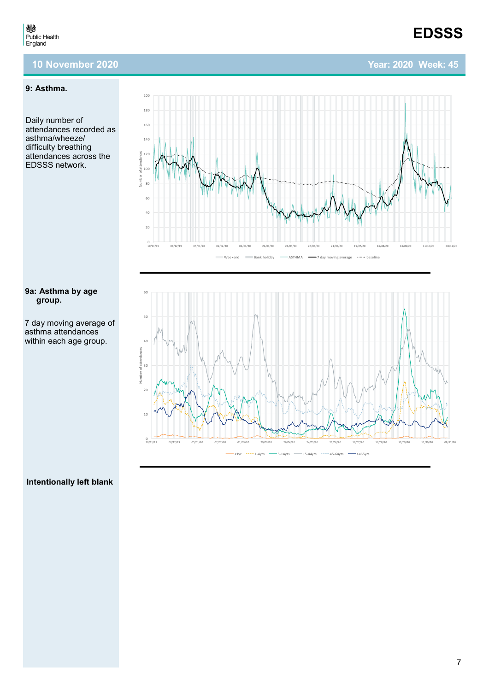## <span id="page-6-0"></span>**9: Asthma.**

Daily number of attendances recorded as asthma/wheeze/ difficulty breathing attendances across the EDSSS network.

#### **9a: Asthma by age group.**

7 day moving average of asthma attendances within each age group.





## **Intentionally left blank**

## **EDSSS**

## **Year: 2020 Week: 45**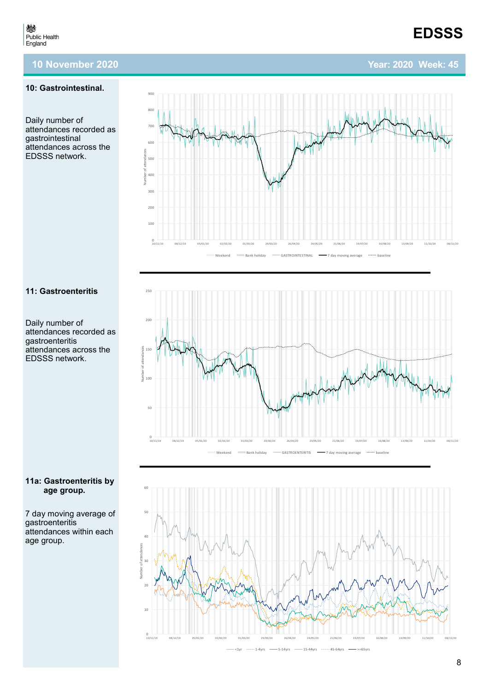## **10: Gastrointestinal.**

Daily number of attendances recorded as gastrointestinal attendances across the EDSSS network.



 $^{\circ}$ 100 200

<sub>30</sub> 400

500  $60$ 

700  $800$  $900$ 

Daily number of attendances recorded as gastroenteritis attendances across the EDSSS network.



7 day moving average of gastroenteritis attendances within each age group.





Weekend **Bank holiday — GASTROINTESTINAL —** 7 day moving average **baseline** 

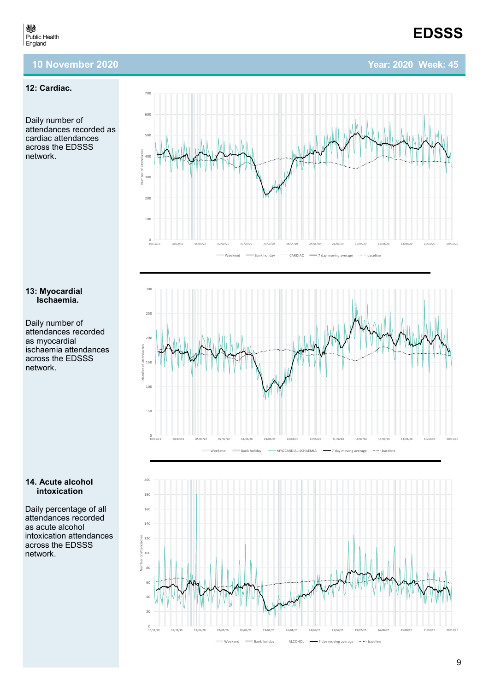700

## **12: Cardiac.**

Daily number of attendances recorded as cardiac attendances across the EDSSS network.

#### **13: Myocardial Ischaemia.**

Daily number of attendances recorded as myocardial ischaemia attendances across the EDSSS network.



Daily percentage of all attendances recorded as acute alcohol intoxication attendances across the EDSSS network.